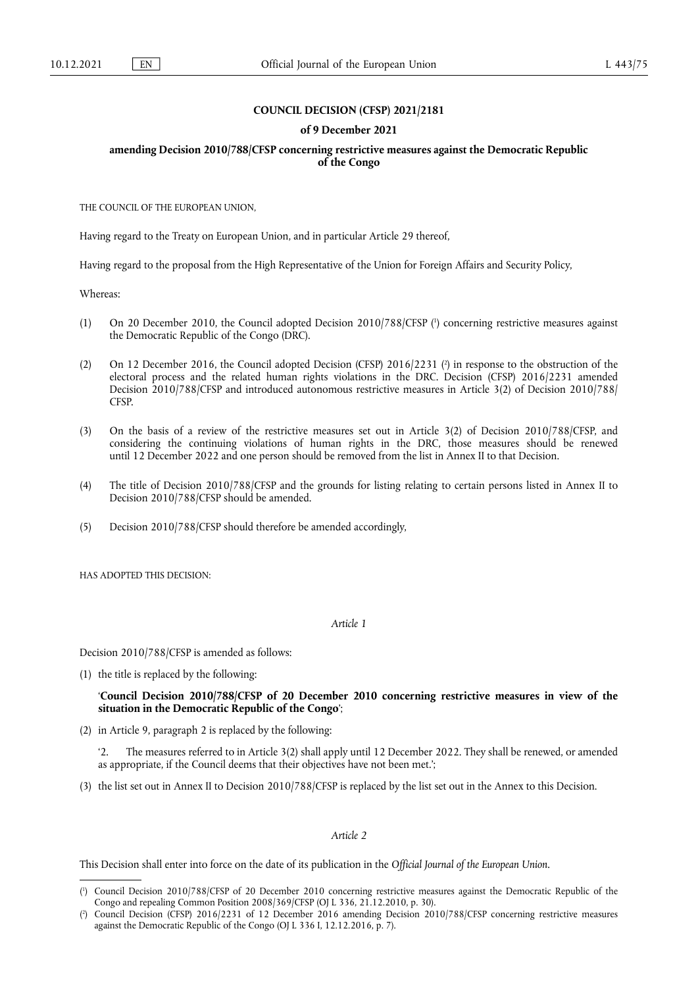## **COUNCIL DECISION (CFSP) 2021/2181**

#### **of 9 December 2021**

## **amending Decision 2010/788/CFSP concerning restrictive measures against the Democratic Republic of the Congo**

THE COUNCIL OF THE EUROPEAN UNION,

Having regard to the Treaty on European Union, and in particular Article 29 thereof,

Having regard to the proposal from the High Representative of the Union for Foreign Affairs and Security Policy,

Whereas:

- <span id="page-0-2"></span>(1) On 20 December 2010, the Council adopted Decision 2010/788/CFSP [\(](#page-0-0) 1 ) concerning restrictive measures against the Democratic Republic of the Congo (DRC).
- <span id="page-0-3"></span>[\(](#page-0-1)2) On 12 December 2016, the Council adopted Decision (CFSP) 2016/2231 (<sup>2</sup>) in response to the obstruction of the electoral process and the related human rights violations in the DRC. Decision (CFSP) 2016/2231 amended Decision 2010/788/CFSP and introduced autonomous restrictive measures in Article 3(2) of Decision 2010/788/ CFSP.
- (3) On the basis of a review of the restrictive measures set out in Article 3(2) of Decision 2010/788/CFSP, and considering the continuing violations of human rights in the DRC, those measures should be renewed until 12 December 2022 and one person should be removed from the list in Annex II to that Decision.
- (4) The title of Decision 2010/788/CFSP and the grounds for listing relating to certain persons listed in Annex II to Decision 2010/788/CFSP should be amended.
- (5) Decision 2010/788/CFSP should therefore be amended accordingly,

HAS ADOPTED THIS DECISION:

*Article 1*

Decision 2010/788/CFSP is amended as follows:

(1) the title is replaced by the following:

'**Council Decision 2010/788/CFSP of 20 December 2010 concerning restrictive measures in view of the situation in the Democratic Republic of the Congo**';

(2) in Article 9, paragraph 2 is replaced by the following:

'2. The measures referred to in Article 3(2) shall apply until 12 December 2022. They shall be renewed, or amended as appropriate, if the Council deems that their objectives have not been met.';

(3) the list set out in Annex II to Decision 2010/788/CFSP is replaced by the list set out in the Annex to this Decision.

*Article 2*

This Decision shall enter into force on the date of its publication in the *Official Journal of the European Union*.

<span id="page-0-0"></span>[<sup>\(</sup>](#page-0-2) 1 ) Council Decision 2010/788/CFSP of 20 December 2010 concerning restrictive measures against the Democratic Republic of the Congo and repealing Common Position 2008/369/CFSP (OJ L 336, 21.12.2010, p. 30).

<span id="page-0-1"></span>[<sup>\(</sup>](#page-0-3) 2 ) Council Decision (CFSP) 2016/2231 of 12 December 2016 amending Decision 2010/788/CFSP concerning restrictive measures against the Democratic Republic of the Congo (OJ L 336 I, 12.12.2016, p. 7).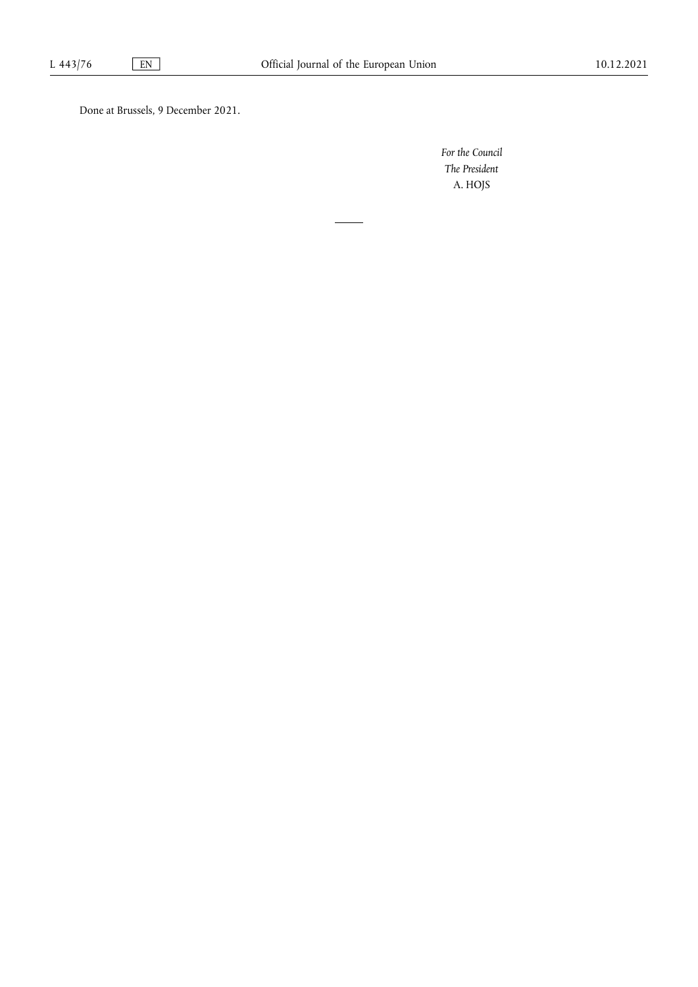Done at Brussels, 9 December 2021.

*For the Council The President* A. HOJS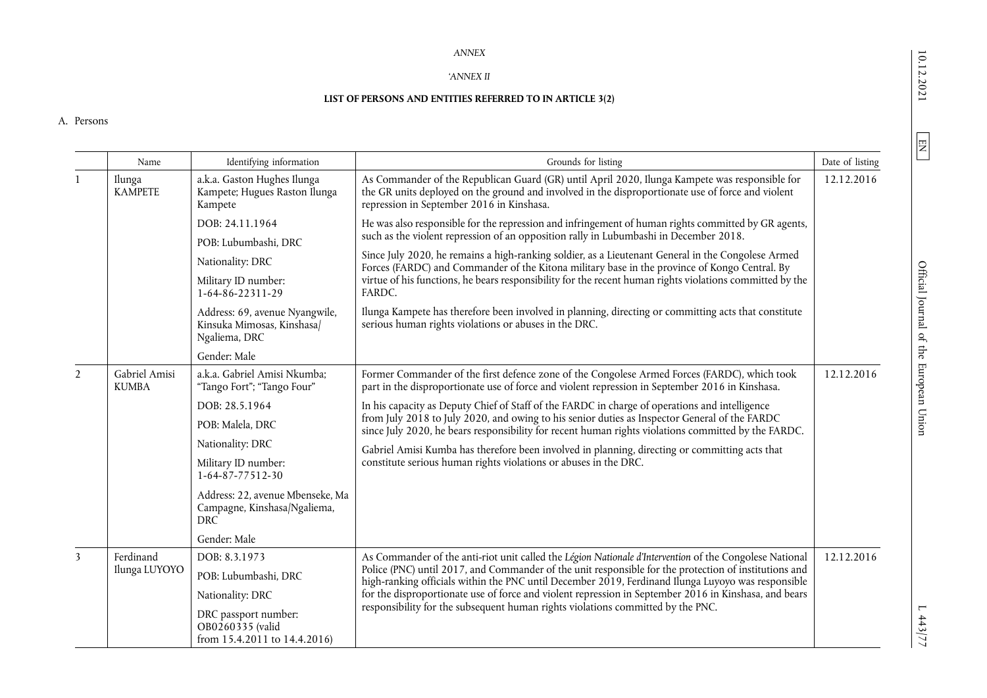## *ANNEX*

### '*ANNEX II*

# **LIST OF PERSONS AND ENTITIES REFERRED TO IN ARTICLE 3(2)**

#### A. Persons

|                         | Name                          | Identifying information                                                        | Grounds for listing                                                                                                                                                                                                                                                                                                                                                                                                                                                                                                       | Date of listing |
|-------------------------|-------------------------------|--------------------------------------------------------------------------------|---------------------------------------------------------------------------------------------------------------------------------------------------------------------------------------------------------------------------------------------------------------------------------------------------------------------------------------------------------------------------------------------------------------------------------------------------------------------------------------------------------------------------|-----------------|
|                         | Ilunga<br><b>KAMPETE</b>      | a.k.a. Gaston Hughes Ilunga<br>Kampete; Hugues Raston Ilunga<br>Kampete        | As Commander of the Republican Guard (GR) until April 2020, Ilunga Kampete was responsible for<br>the GR units deployed on the ground and involved in the disproportionate use of force and violent<br>repression in September 2016 in Kinshasa.                                                                                                                                                                                                                                                                          | 12.12.2016      |
|                         |                               | DOB: 24.11.1964<br>POB: Lubumbashi, DRC                                        | He was also responsible for the repression and infringement of human rights committed by GR agents,<br>such as the violent repression of an opposition rally in Lubumbashi in December 2018.<br>Since July 2020, he remains a high-ranking soldier, as a Lieutenant General in the Congolese Armed<br>Forces (FARDC) and Commander of the Kitona military base in the province of Kongo Central. By<br>virtue of his functions, he bears responsibility for the recent human rights violations committed by the<br>FARDC. |                 |
|                         |                               | Nationality: DRC                                                               |                                                                                                                                                                                                                                                                                                                                                                                                                                                                                                                           |                 |
|                         |                               | Military ID number:<br>1-64-86-22311-29                                        |                                                                                                                                                                                                                                                                                                                                                                                                                                                                                                                           |                 |
|                         |                               | Address: 69, avenue Nyangwile,<br>Kinsuka Mimosas, Kinshasa/<br>Ngaliema, DRC  | Ilunga Kampete has therefore been involved in planning, directing or committing acts that constitute<br>serious human rights violations or abuses in the DRC.                                                                                                                                                                                                                                                                                                                                                             |                 |
|                         |                               | Gender: Male                                                                   |                                                                                                                                                                                                                                                                                                                                                                                                                                                                                                                           |                 |
| $\overline{2}$          | Gabriel Amisi<br><b>KUMBA</b> | a.k.a. Gabriel Amisi Nkumba;<br>"Tango Fort"; "Tango Four"                     | Former Commander of the first defence zone of the Congolese Armed Forces (FARDC), which took<br>part in the disproportionate use of force and violent repression in September 2016 in Kinshasa.                                                                                                                                                                                                                                                                                                                           | 12.12.2016      |
|                         |                               | DOB: 28.5.1964                                                                 | In his capacity as Deputy Chief of Staff of the FARDC in charge of operations and intelligence<br>from July 2018 to July 2020, and owing to his senior duties as Inspector General of the FARDC<br>since July 2020, he bears responsibility for recent human rights violations committed by the FARDC.<br>Gabriel Amisi Kumba has therefore been involved in planning, directing or committing acts that<br>constitute serious human rights violations or abuses in the DRC.                                              |                 |
|                         |                               | POB: Malela, DRC                                                               |                                                                                                                                                                                                                                                                                                                                                                                                                                                                                                                           |                 |
|                         |                               | Nationality: DRC                                                               |                                                                                                                                                                                                                                                                                                                                                                                                                                                                                                                           |                 |
|                         |                               | Military ID number:<br>$1-64-87-77512-30$                                      |                                                                                                                                                                                                                                                                                                                                                                                                                                                                                                                           |                 |
|                         |                               | Address: 22, avenue Mbenseke, Ma<br>Campagne, Kinshasa/Ngaliema,<br><b>DRC</b> |                                                                                                                                                                                                                                                                                                                                                                                                                                                                                                                           |                 |
|                         |                               | Gender: Male                                                                   |                                                                                                                                                                                                                                                                                                                                                                                                                                                                                                                           |                 |
| $\overline{\mathbf{3}}$ | Ferdinand<br>Ilunga LUYOYO    | DOB: 8.3.1973                                                                  | As Commander of the anti-riot unit called the Légion Nationale d'Intervention of the Congolese National<br>Police (PNC) until 2017, and Commander of the unit responsible for the protection of institutions and<br>high-ranking officials within the PNC until December 2019, Ferdinand Ilunga Luyoyo was responsible<br>for the disproportionate use of force and violent repression in September 2016 in Kinshasa, and bears<br>responsibility for the subsequent human rights violations committed by the PNC.        | 12.12.2016      |
|                         |                               | POB: Lubumbashi, DRC                                                           |                                                                                                                                                                                                                                                                                                                                                                                                                                                                                                                           |                 |
|                         |                               | Nationality: DRC                                                               |                                                                                                                                                                                                                                                                                                                                                                                                                                                                                                                           |                 |
|                         |                               | DRC passport number:<br>OB0260335 (valid<br>from 15.4.2011 to 14.4.2016)       |                                                                                                                                                                                                                                                                                                                                                                                                                                                                                                                           |                 |

 $\boxed{\text{EN}}$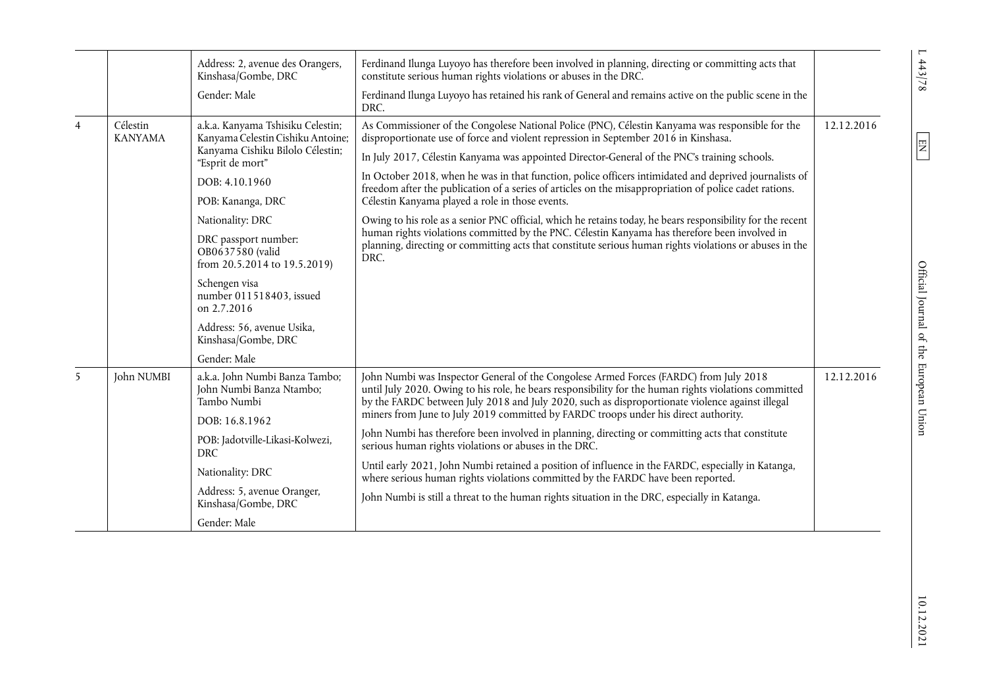|                |                            | Address: 2, avenue des Orangers,<br>Kinshasa/Gombe, DRC<br>Gender: Male                                                        | Ferdinand Ilunga Luyoyo has therefore been involved in planning, directing or committing acts that<br>constitute serious human rights violations or abuses in the DRC.<br>Ferdinand Ilunga Luyoyo has retained his rank of General and remains active on the public scene in the<br>DRC.                                                                                                                                                                                                                                                              |            |
|----------------|----------------------------|--------------------------------------------------------------------------------------------------------------------------------|-------------------------------------------------------------------------------------------------------------------------------------------------------------------------------------------------------------------------------------------------------------------------------------------------------------------------------------------------------------------------------------------------------------------------------------------------------------------------------------------------------------------------------------------------------|------------|
| $\overline{4}$ | Célestin<br><b>KANYAMA</b> | a.k.a. Kanyama Tshisiku Celestin;<br>Kanyama Celestin Cishiku Antoine;<br>Kanyama Cishiku Bilolo Célestin;<br>"Esprit de mort" | As Commissioner of the Congolese National Police (PNC), Célestin Kanyama was responsible for the<br>disproportionate use of force and violent repression in September 2016 in Kinshasa.<br>In July 2017, Célestin Kanyama was appointed Director-General of the PNC's training schools.<br>In October 2018, when he was in that function, police officers intimidated and deprived journalists of                                                                                                                                                     | 12.12.2016 |
|                |                            | DOB: 4.10.1960<br>POB: Kananga, DRC                                                                                            | freedom after the publication of a series of articles on the misappropriation of police cadet rations.<br>Célestin Kanyama played a role in those events.                                                                                                                                                                                                                                                                                                                                                                                             |            |
|                |                            | Nationality: DRC                                                                                                               | Owing to his role as a senior PNC official, which he retains today, he bears responsibility for the recent<br>human rights violations committed by the PNC. Célestin Kanyama has therefore been involved in<br>planning, directing or committing acts that constitute serious human rights violations or abuses in the<br>DRC.                                                                                                                                                                                                                        |            |
|                |                            | DRC passport number:<br>OB0637580 (valid<br>from 20.5.2014 to 19.5.2019)                                                       |                                                                                                                                                                                                                                                                                                                                                                                                                                                                                                                                                       |            |
|                |                            | Schengen visa<br>number 011518403, issued<br>on 2.7.2016                                                                       |                                                                                                                                                                                                                                                                                                                                                                                                                                                                                                                                                       |            |
|                |                            | Address: 56, avenue Usika,<br>Kinshasa/Gombe, DRC                                                                              |                                                                                                                                                                                                                                                                                                                                                                                                                                                                                                                                                       |            |
|                |                            | Gender: Male                                                                                                                   |                                                                                                                                                                                                                                                                                                                                                                                                                                                                                                                                                       |            |
| 5              | John NUMBI                 | a.k.a. John Numbi Banza Tambo;<br>John Numbi Banza Ntambo;<br>Tambo Numbi                                                      | John Numbi was Inspector General of the Congolese Armed Forces (FARDC) from July 2018<br>until July 2020. Owing to his role, he bears responsibility for the human rights violations committed<br>by the FARDC between July 2018 and July 2020, such as disproportionate violence against illegal<br>miners from June to July 2019 committed by FARDC troops under his direct authority.<br>John Numbi has therefore been involved in planning, directing or committing acts that constitute<br>serious human rights violations or abuses in the DRC. | 12.12.2016 |
|                |                            | DOB: 16.8.1962                                                                                                                 |                                                                                                                                                                                                                                                                                                                                                                                                                                                                                                                                                       |            |
|                |                            | POB: Jadotville-Likasi-Kolwezi,<br>DRC                                                                                         |                                                                                                                                                                                                                                                                                                                                                                                                                                                                                                                                                       |            |
|                |                            | Nationality: DRC                                                                                                               | Until early 2021, John Numbi retained a position of influence in the FARDC, especially in Katanga,<br>where serious human rights violations committed by the FARDC have been reported.                                                                                                                                                                                                                                                                                                                                                                |            |
|                |                            | Address: 5, avenue Oranger,<br>Kinshasa/Gombe, DRC                                                                             | John Numbi is still a threat to the human rights situation in the DRC, especially in Katanga.                                                                                                                                                                                                                                                                                                                                                                                                                                                         |            |
|                |                            | Gender: Male                                                                                                                   |                                                                                                                                                                                                                                                                                                                                                                                                                                                                                                                                                       |            |

 $1.443/78$ 

 $\boxed{\text{EN}}$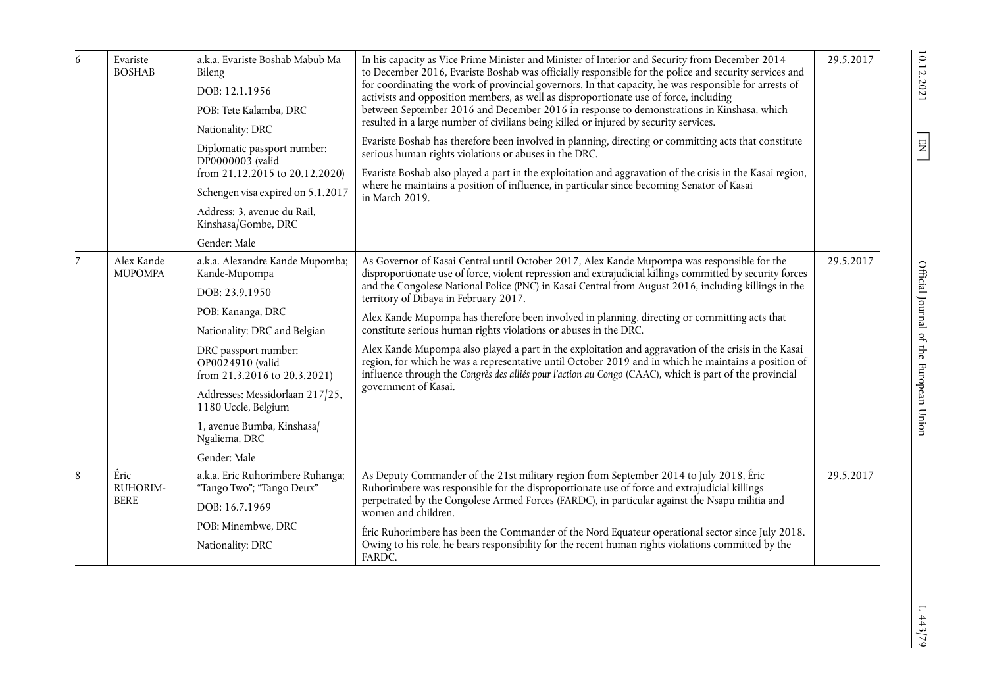| 6              | Evariste<br><b>BOSHAB</b>       | a.k.a. Evariste Boshab Mabub Ma<br>Bileng<br>DOB: 12.1.1956<br>POB: Tete Kalamba, DRC<br>Nationality: DRC<br>Diplomatic passport number:<br>DP0000003 (valid<br>from 21.12.2015 to 20.12.2020)<br>Schengen visa expired on 5.1.2017<br>Address: 3, avenue du Rail,<br>Kinshasa/Gombe, DRC<br>Gender: Male                    | In his capacity as Vice Prime Minister and Minister of Interior and Security from December 2014<br>to December 2016, Evariste Boshab was officially responsible for the police and security services and<br>for coordinating the work of provincial governors. In that capacity, he was responsible for arrests of<br>activists and opposition members, as well as disproportionate use of force, including<br>between September 2016 and December 2016 in response to demonstrations in Kinshasa, which<br>resulted in a large number of civilians being killed or injured by security services.<br>Evariste Boshab has therefore been involved in planning, directing or committing acts that constitute<br>serious human rights violations or abuses in the DRC.<br>Evariste Boshab also played a part in the exploitation and aggravation of the crisis in the Kasai region,<br>where he maintains a position of influence, in particular since becoming Senator of Kasai<br>in March 2019. | 29.5.2017 |
|----------------|---------------------------------|------------------------------------------------------------------------------------------------------------------------------------------------------------------------------------------------------------------------------------------------------------------------------------------------------------------------------|-------------------------------------------------------------------------------------------------------------------------------------------------------------------------------------------------------------------------------------------------------------------------------------------------------------------------------------------------------------------------------------------------------------------------------------------------------------------------------------------------------------------------------------------------------------------------------------------------------------------------------------------------------------------------------------------------------------------------------------------------------------------------------------------------------------------------------------------------------------------------------------------------------------------------------------------------------------------------------------------------|-----------|
| $\overline{7}$ | Alex Kande<br><b>MUPOMPA</b>    | a.k.a. Alexandre Kande Mupomba;<br>Kande-Mupompa<br>DOB: 23.9.1950<br>POB: Kananga, DRC<br>Nationality: DRC and Belgian<br>DRC passport number:<br>OP0024910 (valid<br>from 21.3.2016 to 20.3.2021)<br>Addresses: Messidorlaan 217/25,<br>1180 Uccle, Belgium<br>1, avenue Bumba, Kinshasa/<br>Ngaliema, DRC<br>Gender: Male | As Governor of Kasai Central until October 2017, Alex Kande Mupompa was responsible for the<br>disproportionate use of force, violent repression and extrajudicial killings committed by security forces<br>and the Congolese National Police (PNC) in Kasai Central from August 2016, including killings in the<br>territory of Dibaya in February 2017.<br>Alex Kande Mupompa has therefore been involved in planning, directing or committing acts that<br>constitute serious human rights violations or abuses in the DRC.<br>Alex Kande Mupompa also played a part in the exploitation and aggravation of the crisis in the Kasai<br>region, for which he was a representative until October 2019 and in which he maintains a position of<br>influence through the Congrès des alliés pour l'action au Congo (CAAC), which is part of the provincial<br>government of Kasai.                                                                                                               | 29.5.2017 |
| 8              | Éric<br>RUHORIM-<br><b>BERE</b> | a.k.a. Eric Ruhorimbere Ruhanga;<br>"Tango Two"; "Tango Deux"<br>DOB: 16.7.1969<br>POB: Minembwe, DRC<br>Nationality: DRC                                                                                                                                                                                                    | As Deputy Commander of the 21st military region from September 2014 to July 2018, Éric<br>Ruhorimbere was responsible for the disproportionate use of force and extrajudicial killings<br>perpetrated by the Congolese Armed Forces (FARDC), in particular against the Nsapu militia and<br>women and children.<br>Éric Ruhorimbere has been the Commander of the Nord Equateur operational sector since July 2018.<br>Owing to his role, he bears responsibility for the recent human rights violations committed by the<br>FARDC.                                                                                                                                                                                                                                                                                                                                                                                                                                                             | 29.5.2017 |

 $1443/79$